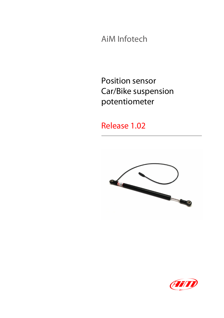AiM Infotech

Position sensor Car/Bike suspension potentiometer

Release 1.02



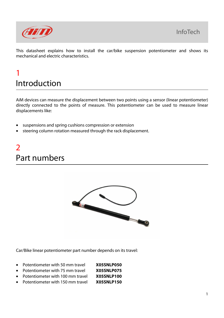

This datasheet explains how to install the car/bike suspension potentiometer and shows its mechanical and electric characteristics.

### 1 Introduction

AiM devices can measure the displacement between two points using a sensor (linear potentiometer) directly connected to the points of measure. This potentiometer can be used to measure linear displacements like:

- suspensions and spring cushions compression or extension
- steering column rotation measured through the rack displacement.

# 2 Part numbers



Car/Bike linear potentiometer part number depends on its travel:

| • Potentiometer with 50 mm travel  | X05SNLP050        |
|------------------------------------|-------------------|
| • Potentiometer with 75 mm travel  | X05SNLP075        |
| • Potentiometer with 100 mm travel | <b>X05SNLP100</b> |
|                                    | VALCHILDER        |

• Potentiometer with 150 mm travel **X05SNLP150**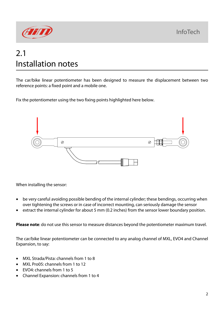**InfoTech** 



## 2.1 Installation notes

The car/bike linear potentiometer has been designed to measure the displacement between two reference points: a fixed point and a mobile one.

Fix the potentiometer using the two fixing points highlighted here below.



When installing the sensor:

- be very careful avoiding possible bending of the internal cylinder; these bendings, occurring when over tightening the screws or in case of incorrect mounting, can seriously damage the sensor
- extract the internal cylinder for about 5 mm (0.2 inches) from the sensor lower boundary position.

**Please note**: do not use this sensor to measure distances beyond the potentiometer maximum travel.

The car/bike linear potentiometer can be connected to any analog channel of MXL, EVO4 and Channel Expansion, to say:

- MXL Strada/Pista: channels from 1 to 8
- MXL Pro05: channels from 1 to 12
- EVO4: channels from 1 to 5
- Channel Expansion: channels from 1 to 4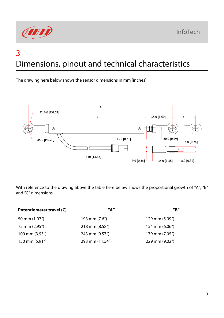

## 3 Dimensions, pinout and technical characteristics

The drawing here below shows the sensor dimensions in mm [inches].



With reference to the drawing above the table here below shows the proportional growth of "A", "B" and "C" dimensions.

| Potentiometer travel (C) | $^{\prime\prime}$ A $^{\prime\prime}$ | $^{\prime\prime}$ R $^{\prime\prime}$ |
|--------------------------|---------------------------------------|---------------------------------------|
| 50 mm (1.97")            | 193 mm (7.6")                         | 129 mm (5.09")                        |
| 75 mm (2.95")            | 218 mm (8.58")                        | 154 mm (6,06")                        |
| 100 mm (3.93")           | 243 mm (9.57")                        | 179 mm (7.05")                        |
| 150 mm (5.91")           | 293 mm (11.54")                       | 229 mm (9.02")                        |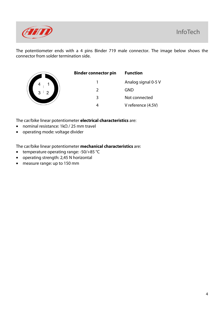

The potentiometer ends with a 4 pins Binder 719 male connector. The image below shows the connector from solder termination side.

| 4      |                |  |
|--------|----------------|--|
| J<br>3 | $\overline{2}$ |  |

| Binder connector pin | <b>Function</b>     |
|----------------------|---------------------|
|                      | Analog signal 0-5 V |
| $\mathcal{L}$        | GND                 |
| 3                    | Not connected       |
|                      | V reference (4.5V)  |
|                      |                     |

The car/bike linear potentiometer **electrical characteristics** are:

- nominal resistance: 1kΩ / 25 mm travel
- operating mode: voltage divider

The car/bike linear potentiometer **mechanical characteristics** are:

- temperature operating range: -50/+85 °C
- operating strength: 2,45 N horizontal
- measure range: up to 150 mm